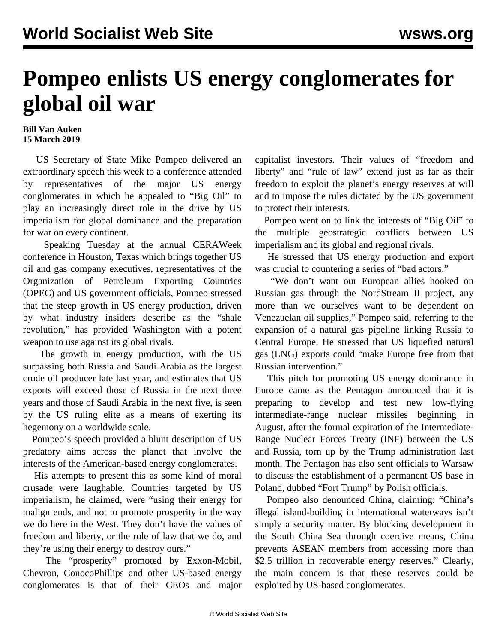## **Pompeo enlists US energy conglomerates for global oil war**

## **Bill Van Auken 15 March 2019**

 US Secretary of State Mike Pompeo delivered an extraordinary speech this week to a conference attended by representatives of the major US energy conglomerates in which he appealed to "Big Oil" to play an increasingly direct role in the drive by US imperialism for global dominance and the preparation for war on every continent.

 Speaking Tuesday at the annual CERAWeek conference in Houston, Texas which brings together US oil and gas company executives, representatives of the Organization of Petroleum Exporting Countries (OPEC) and US government officials, Pompeo stressed that the steep growth in US energy production, driven by what industry insiders describe as the "shale revolution," has provided Washington with a potent weapon to use against its global rivals.

 The growth in energy production, with the US surpassing both Russia and Saudi Arabia as the largest crude oil producer late last year, and estimates that US exports will exceed those of Russia in the next three years and those of Saudi Arabia in the next five, is seen by the US ruling elite as a means of exerting its hegemony on a worldwide scale.

 Pompeo's speech provided a blunt description of US predatory aims across the planet that involve the interests of the American-based energy conglomerates.

 His attempts to present this as some kind of moral crusade were laughable. Countries targeted by US imperialism, he claimed, were "using their energy for malign ends, and not to promote prosperity in the way we do here in the West. They don't have the values of freedom and liberty, or the rule of law that we do, and they're using their energy to destroy ours."

 The "prosperity" promoted by Exxon-Mobil, Chevron, ConocoPhillips and other US-based energy conglomerates is that of their CEOs and major capitalist investors. Their values of "freedom and liberty" and "rule of law" extend just as far as their freedom to exploit the planet's energy reserves at will and to impose the rules dictated by the US government to protect their interests.

 Pompeo went on to link the interests of "Big Oil" to the multiple geostrategic conflicts between US imperialism and its global and regional rivals.

 He stressed that US energy production and export was crucial to countering a series of "bad actors."

 "We don't want our European allies hooked on Russian gas through the NordStream II project, any more than we ourselves want to be dependent on Venezuelan oil supplies," Pompeo said, referring to the expansion of a natural gas pipeline linking Russia to Central Europe. He stressed that US liquefied natural gas (LNG) exports could "make Europe free from that Russian intervention."

 This pitch for promoting US energy dominance in Europe came as the Pentagon announced that it is preparing to develop and test new low-flying intermediate-range nuclear missiles beginning in August, after the formal expiration of the Intermediate-Range Nuclear Forces Treaty (INF) between the US and Russia, torn up by the Trump administration last month. The Pentagon has also sent officials to Warsaw to discuss the establishment of a permanent US base in Poland, dubbed "Fort Trump" by Polish officials.

 Pompeo also denounced China, claiming: "China's illegal island-building in international waterways isn't simply a security matter. By blocking development in the South China Sea through coercive means, China prevents ASEAN members from accessing more than \$2.5 trillion in recoverable energy reserves." Clearly, the main concern is that these reserves could be exploited by US-based conglomerates.